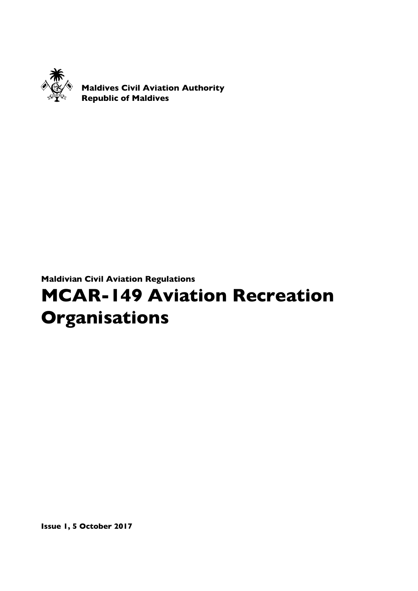

Maldives Civil Aviation Authority Republic of Maldives

Maldivian Civil Aviation Regulations

# MCAR-149 Aviation Recreation **Organisations**

Issue 1, 5 October 2017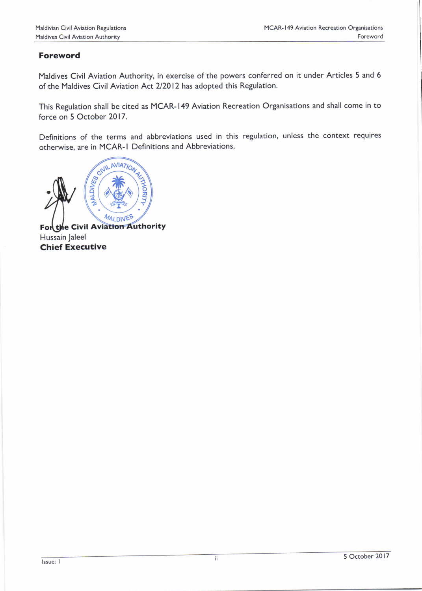# Foreword

Maldives Civil Aviation Authority, in exercise of the powers conferred on it under Articles 5 and <sup>6</sup> of the Maldives Civil Aviation Act 2/2012 has adopted this Regulation.

This Regulation shall be cited as MCAR- 149 Aviation Recreation Organisations and shall come in to force on 5 October 2017.

Definitions of the terms and abbreviations used in this regulation, unless the context requires otherwise, are in MCAR-l Definitions and Abbreviations.

ESCAVILAVIATION

For the Civil Aviation Authority Hussain Jaleel Chief Executive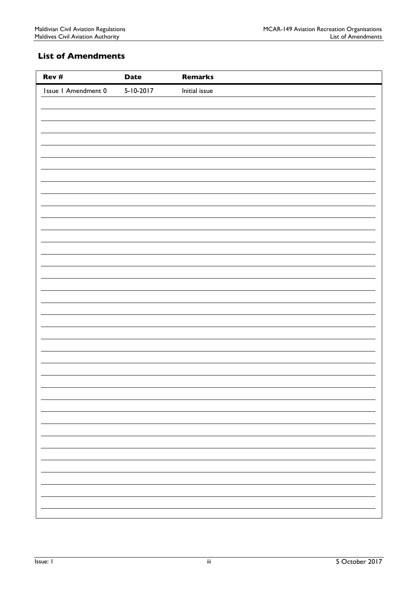# <span id="page-2-0"></span>List of Amendments

| Rev#                | <b>Date</b>     | Remarks       |
|---------------------|-----------------|---------------|
| Issue I Amendment 0 | $5 - 10 - 2017$ | Initial issue |
|                     |                 |               |
|                     |                 |               |
|                     |                 |               |
|                     |                 |               |
|                     |                 |               |
|                     |                 |               |
|                     |                 |               |
|                     |                 |               |
|                     |                 |               |
|                     |                 |               |
|                     |                 |               |
|                     |                 |               |
|                     |                 |               |
|                     |                 |               |
|                     |                 |               |
|                     |                 |               |
|                     |                 |               |
|                     |                 |               |
|                     |                 |               |
|                     |                 |               |
|                     |                 |               |
|                     |                 |               |
|                     |                 |               |
|                     |                 |               |
|                     |                 |               |
|                     |                 |               |
|                     |                 |               |
|                     |                 |               |
|                     |                 |               |
|                     |                 | Ξ,            |
|                     |                 |               |
|                     |                 |               |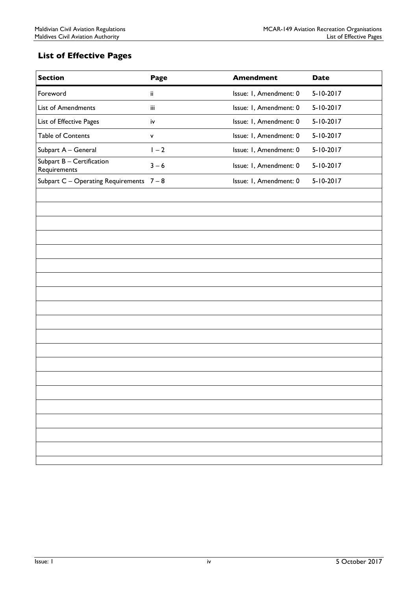# <span id="page-3-0"></span>List of Effective Pages

| <b>Section</b>                               | Page         | <b>Amendment</b>       | <b>Date</b>     |
|----------------------------------------------|--------------|------------------------|-----------------|
| Foreword                                     | ii.          | Issue: I, Amendment: 0 | $5 - 10 - 2017$ |
| List of Amendments                           | iii          | Issue: I, Amendment: 0 | $5 - 10 - 2017$ |
| List of Effective Pages                      | iv           | Issue: I, Amendment: 0 | $5 - 10 - 2017$ |
| <b>Table of Contents</b>                     | $\mathsf{v}$ | Issue: I, Amendment: 0 | $5 - 10 - 2017$ |
| Subpart A - General                          | $1 - 2$      | Issue: I, Amendment: 0 | $5 - 10 - 2017$ |
| Subpart $B -$ Certification<br>Requirements  | $3 - 6$      | Issue: I, Amendment: 0 | $5 - 10 - 2017$ |
| Subpart $C -$ Operating Requirements $7 - 8$ |              | Issue: I, Amendment: 0 | $5 - 10 - 2017$ |
|                                              |              |                        |                 |
|                                              |              |                        |                 |
|                                              |              |                        |                 |
|                                              |              |                        |                 |
|                                              |              |                        |                 |
|                                              |              |                        |                 |
|                                              |              |                        |                 |
|                                              |              |                        |                 |
|                                              |              |                        |                 |
|                                              |              |                        |                 |
|                                              |              |                        |                 |
|                                              |              |                        |                 |
|                                              |              |                        |                 |
|                                              |              |                        |                 |
|                                              |              |                        |                 |
|                                              |              |                        |                 |
|                                              |              |                        |                 |
|                                              |              |                        |                 |
|                                              |              |                        |                 |
|                                              |              |                        |                 |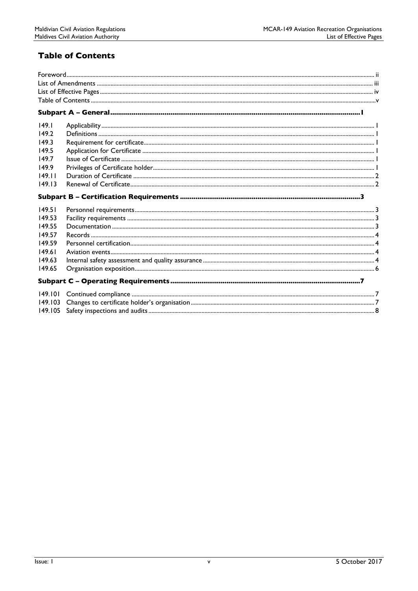# <span id="page-4-0"></span>**Table of Contents**

| 149.1   |  |
|---------|--|
| 149.2   |  |
| 149.3   |  |
| 149.5   |  |
| 149.7   |  |
| 149.9   |  |
| 149.11  |  |
| 149.13  |  |
|         |  |
| 149.51  |  |
| 149.53  |  |
| 149.55  |  |
| 149.57  |  |
| 149.59  |  |
| 149.61  |  |
| 149.63  |  |
| 149.65  |  |
|         |  |
| 149.101 |  |
| 149.103 |  |
| 149.105 |  |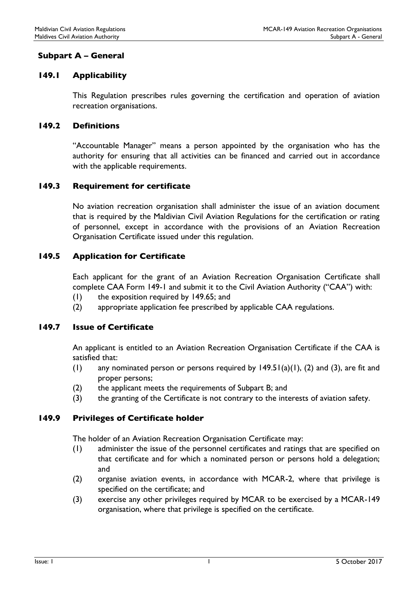# <span id="page-5-0"></span>Subpart A – General

# <span id="page-5-1"></span>149.1 Applicability

This Regulation prescribes rules governing the certification and operation of aviation recreation organisations.

#### <span id="page-5-2"></span>149.2 Definitions

"Accountable Manager" means a person appointed by the organisation who has the authority for ensuring that all activities can be financed and carried out in accordance with the applicable requirements.

#### <span id="page-5-3"></span>149.3 Requirement for certificate

No aviation recreation organisation shall administer the issue of an aviation document that is required by the Maldivian Civil Aviation Regulations for the certification or rating of personnel, except in accordance with the provisions of an Aviation Recreation Organisation Certificate issued under this regulation.

## <span id="page-5-4"></span>149.5 Application for Certificate

Each applicant for the grant of an Aviation Recreation Organisation Certificate shall complete CAA Form 149-1 and submit it to the Civil Aviation Authority ("CAA") with:

- (1) the exposition required by 149.65; and
- (2) appropriate application fee prescribed by applicable CAA regulations.

# <span id="page-5-5"></span>149.7 Issue of Certificate

An applicant is entitled to an Aviation Recreation Organisation Certificate if the CAA is satisfied that:

- (1) any nominated person or persons required by  $149.51(a)(1)$ , (2) and (3), are fit and proper persons;
- (2) the applicant meets the requirements of Subpart B; and
- (3) the granting of the Certificate is not contrary to the interests of aviation safety.

#### <span id="page-5-6"></span>149.9 Privileges of Certificate holder

The holder of an Aviation Recreation Organisation Certificate may:

- (1) administer the issue of the personnel certificates and ratings that are specified on that certificate and for which a nominated person or persons hold a delegation; and
- (2) organise aviation events, in accordance with MCAR-2, where that privilege is specified on the certificate; and
- (3) exercise any other privileges required by MCAR to be exercised by a MCAR-149 organisation, where that privilege is specified on the certificate.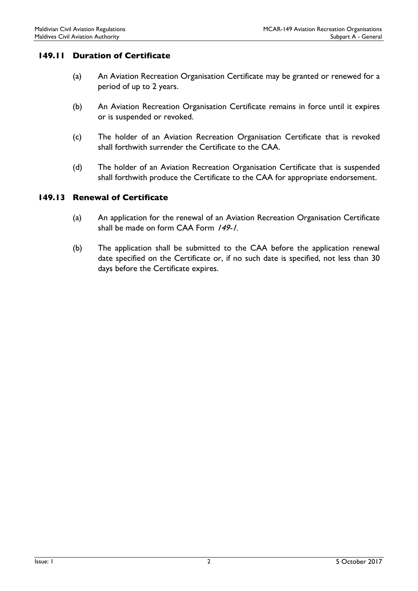#### <span id="page-6-0"></span>149.11 Duration of Certificate

- (a) An Aviation Recreation Organisation Certificate may be granted or renewed for a period of up to 2 years.
- (b) An Aviation Recreation Organisation Certificate remains in force until it expires or is suspended or revoked.
- (c) The holder of an Aviation Recreation Organisation Certificate that is revoked shall forthwith surrender the Certificate to the CAA.
- (d) The holder of an Aviation Recreation Organisation Certificate that is suspended shall forthwith produce the Certificate to the CAA for appropriate endorsement.

#### <span id="page-6-1"></span>149.13 Renewal of Certificate

- (a) An application for the renewal of an Aviation Recreation Organisation Certificate shall be made on form CAA Form /49-1.
- (b) The application shall be submitted to the CAA before the application renewal date specified on the Certificate or, if no such date is specified, not less than 30 days before the Certificate expires.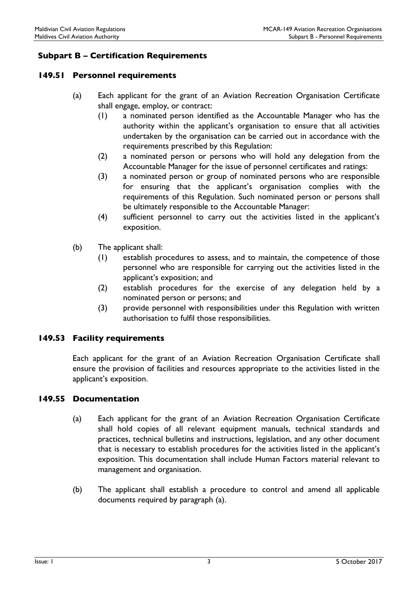# <span id="page-7-0"></span>Subpart B – Certification Requirements

#### <span id="page-7-1"></span>149.51 Personnel requirements

- (a) Each applicant for the grant of an Aviation Recreation Organisation Certificate shall engage, employ, or contract:
	- (1) a nominated person identified as the Accountable Manager who has the authority within the applicant's organisation to ensure that all activities undertaken by the organisation can be carried out in accordance with the requirements prescribed by this Regulation:
	- (2) a nominated person or persons who will hold any delegation from the Accountable Manager for the issue of personnel certificates and ratings:
	- (3) a nominated person or group of nominated persons who are responsible for ensuring that the applicant's organisation complies with the requirements of this Regulation. Such nominated person or persons shall be ultimately responsible to the Accountable Manager:
	- (4) sufficient personnel to carry out the activities listed in the applicant's exposition.
- (b) The applicant shall:
	- (1) establish procedures to assess, and to maintain, the competence of those personnel who are responsible for carrying out the activities listed in the applicant's exposition; and
	- (2) establish procedures for the exercise of any delegation held by a nominated person or persons; and
	- (3) provide personnel with responsibilities under this Regulation with written authorisation to fulfil those responsibilities.

#### <span id="page-7-2"></span>149.53 Facility requirements

Each applicant for the grant of an Aviation Recreation Organisation Certificate shall ensure the provision of facilities and resources appropriate to the activities listed in the applicant's exposition.

#### <span id="page-7-3"></span>149.55 Documentation

- (a) Each applicant for the grant of an Aviation Recreation Organisation Certificate shall hold copies of all relevant equipment manuals, technical standards and practices, technical bulletins and instructions, legislation, and any other document that is necessary to establish procedures for the activities listed in the applicant's exposition. This documentation shall include Human Factors material relevant to management and organisation.
- (b) The applicant shall establish a procedure to control and amend all applicable documents required by paragraph (a).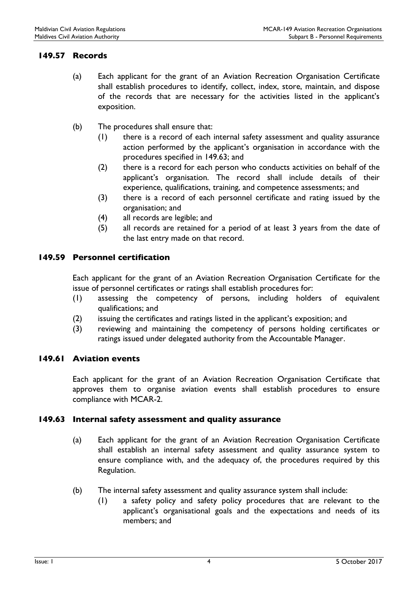#### <span id="page-8-0"></span>149.57 Records

- (a) Each applicant for the grant of an Aviation Recreation Organisation Certificate shall establish procedures to identify, collect, index, store, maintain, and dispose of the records that are necessary for the activities listed in the applicant's exposition.
- (b) The procedures shall ensure that:
	- (1) there is a record of each internal safety assessment and quality assurance action performed by the applicant's organisation in accordance with the procedures specified in 149.63; and
	- (2) there is a record for each person who conducts activities on behalf of the applicant's organisation. The record shall include details of their experience, qualifications, training, and competence assessments; and
	- (3) there is a record of each personnel certificate and rating issued by the organisation; and
	- (4) all records are legible; and
	- (5) all records are retained for a period of at least 3 years from the date of the last entry made on that record.

#### <span id="page-8-1"></span>149.59 Personnel certification

Each applicant for the grant of an Aviation Recreation Organisation Certificate for the issue of personnel certificates or ratings shall establish procedures for:

- (1) assessing the competency of persons, including holders of equivalent qualifications; and
- (2) issuing the certificates and ratings listed in the applicant's exposition; and
- (3) reviewing and maintaining the competency of persons holding certificates or ratings issued under delegated authority from the Accountable Manager.

#### <span id="page-8-2"></span>149.61 Aviation events

Each applicant for the grant of an Aviation Recreation Organisation Certificate that approves them to organise aviation events shall establish procedures to ensure compliance with MCAR-2.

#### <span id="page-8-3"></span>149.63 Internal safety assessment and quality assurance

- (a) Each applicant for the grant of an Aviation Recreation Organisation Certificate shall establish an internal safety assessment and quality assurance system to ensure compliance with, and the adequacy of, the procedures required by this Regulation.
- (b) The internal safety assessment and quality assurance system shall include:
	- (1) a safety policy and safety policy procedures that are relevant to the applicant's organisational goals and the expectations and needs of its members; and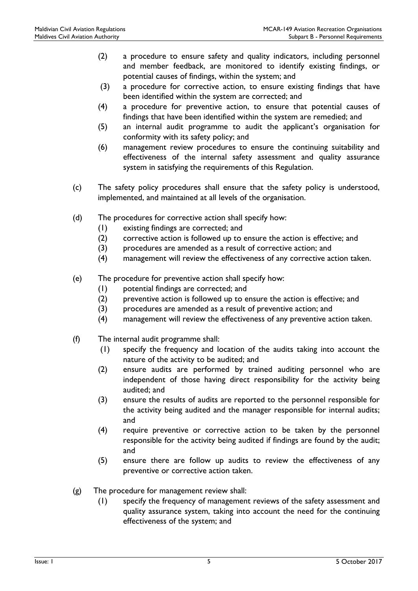- (2) a procedure to ensure safety and quality indicators, including personnel and member feedback, are monitored to identify existing findings, or potential causes of findings, within the system; and
- (3) a procedure for corrective action, to ensure existing findings that have been identified within the system are corrected; and
- (4) a procedure for preventive action, to ensure that potential causes of findings that have been identified within the system are remedied; and
- (5) an internal audit programme to audit the applicant's organisation for conformity with its safety policy; and
- (6) management review procedures to ensure the continuing suitability and effectiveness of the internal safety assessment and quality assurance system in satisfying the requirements of this Regulation.
- (c) The safety policy procedures shall ensure that the safety policy is understood, implemented, and maintained at all levels of the organisation.
- (d) The procedures for corrective action shall specify how:
	- (1) existing findings are corrected; and
	- (2) corrective action is followed up to ensure the action is effective; and
	- (3) procedures are amended as a result of corrective action; and
	- (4) management will review the effectiveness of any corrective action taken.
- (e) The procedure for preventive action shall specify how:
	- (1) potential findings are corrected; and
	- (2) preventive action is followed up to ensure the action is effective; and
	- (3) procedures are amended as a result of preventive action; and
	- (4) management will review the effectiveness of any preventive action taken.
- (f) The internal audit programme shall:
	- (1) specify the frequency and location of the audits taking into account the nature of the activity to be audited; and
	- (2) ensure audits are performed by trained auditing personnel who are independent of those having direct responsibility for the activity being audited; and
	- (3) ensure the results of audits are reported to the personnel responsible for the activity being audited and the manager responsible for internal audits; and
	- (4) require preventive or corrective action to be taken by the personnel responsible for the activity being audited if findings are found by the audit; and
	- (5) ensure there are follow up audits to review the effectiveness of any preventive or corrective action taken.
- (g) The procedure for management review shall:
	- (1) specify the frequency of management reviews of the safety assessment and quality assurance system, taking into account the need for the continuing effectiveness of the system; and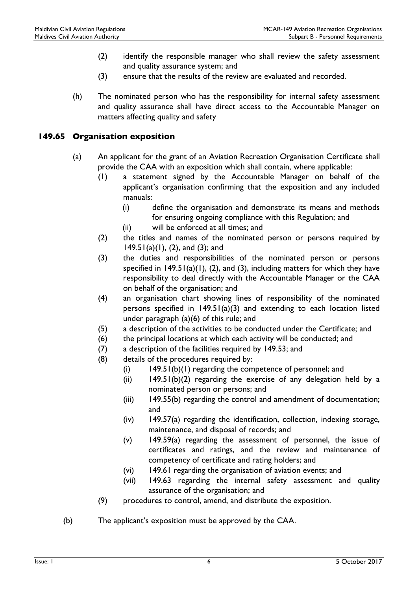- (2) identify the responsible manager who shall review the safety assessment and quality assurance system; and
- (3) ensure that the results of the review are evaluated and recorded.
- (h) The nominated person who has the responsibility for internal safety assessment and quality assurance shall have direct access to the Accountable Manager on matters affecting quality and safety

#### <span id="page-10-0"></span>149.65 Organisation exposition

- (a) An applicant for the grant of an Aviation Recreation Organisation Certificate shall provide the CAA with an exposition which shall contain, where applicable:
	- (1) a statement signed by the Accountable Manager on behalf of the applicant's organisation confirming that the exposition and any included manuals:
		- (i) define the organisation and demonstrate its means and methods for ensuring ongoing compliance with this Regulation; and
		- (ii) will be enforced at all times; and
	- (2) the titles and names of the nominated person or persons required by 149.51(a)(1), (2), and (3); and
	- (3) the duties and responsibilities of the nominated person or persons specified in  $149.51(a)(1)$ , (2), and (3), including matters for which they have responsibility to deal directly with the Accountable Manager or the CAA on behalf of the organisation; and
	- (4) an organisation chart showing lines of responsibility of the nominated persons specified in  $149.51(a)(3)$  and extending to each location listed under paragraph (a)(6) of this rule; and
	- (5) a description of the activities to be conducted under the Certificate; and
	- (6) the principal locations at which each activity will be conducted; and
	- (7) a description of the facilities required by 149.53; and
	- (8) details of the procedures required by:
		- (i) 149.51(b)(1) regarding the competence of personnel; and
		- (ii)  $149.51(b)(2)$  regarding the exercise of any delegation held by a nominated person or persons; and
		- (iii) 149.55(b) regarding the control and amendment of documentation; and
		- (iv) 149.57(a) regarding the identification, collection, indexing storage, maintenance, and disposal of records; and
		- (v) 149.59(a) regarding the assessment of personnel, the issue of certificates and ratings, and the review and maintenance of competency of certificate and rating holders; and
		- (vi) 149.61 regarding the organisation of aviation events; and
		- (vii) 149.63 regarding the internal safety assessment and quality assurance of the organisation; and
	- (9) procedures to control, amend, and distribute the exposition.
- (b) The applicant's exposition must be approved by the CAA.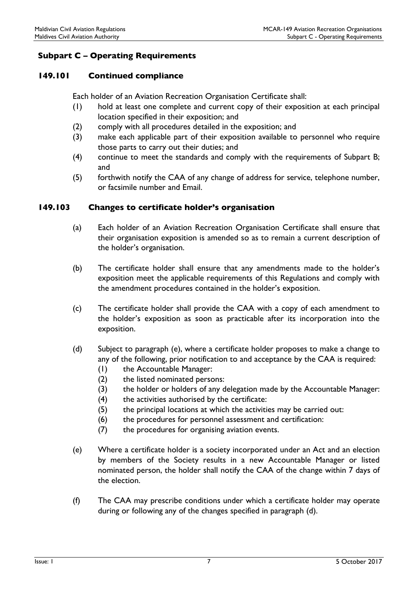# <span id="page-11-0"></span>Subpart C – Operating Requirements

#### <span id="page-11-1"></span>149.101 Continued compliance

Each holder of an Aviation Recreation Organisation Certificate shall:

- (1) hold at least one complete and current copy of their exposition at each principal location specified in their exposition; and
- (2) comply with all procedures detailed in the exposition; and
- (3) make each applicable part of their exposition available to personnel who require those parts to carry out their duties; and
- (4) continue to meet the standards and comply with the requirements of Subpart B; and
- (5) forthwith notify the CAA of any change of address for service, telephone number, or facsimile number and Email.

#### <span id="page-11-2"></span>149.103 Changes to certificate holder's organisation

- (a) Each holder of an Aviation Recreation Organisation Certificate shall ensure that their organisation exposition is amended so as to remain a current description of the holder's organisation.
- (b) The certificate holder shall ensure that any amendments made to the holder's exposition meet the applicable requirements of this Regulations and comply with the amendment procedures contained in the holder's exposition.
- (c) The certificate holder shall provide the CAA with a copy of each amendment to the holder's exposition as soon as practicable after its incorporation into the exposition.
- (d) Subject to paragraph (e), where a certificate holder proposes to make a change to any of the following, prior notification to and acceptance by the CAA is required:
	- (1) the Accountable Manager:
	- (2) the listed nominated persons:
	- (3) the holder or holders of any delegation made by the Accountable Manager:
	- (4) the activities authorised by the certificate:
	- (5) the principal locations at which the activities may be carried out:
	- (6) the procedures for personnel assessment and certification:
	- (7) the procedures for organising aviation events.
- (e) Where a certificate holder is a society incorporated under an Act and an election by members of the Society results in a new Accountable Manager or listed nominated person, the holder shall notify the CAA of the change within 7 days of the election.
- (f) The CAA may prescribe conditions under which a certificate holder may operate during or following any of the changes specified in paragraph (d).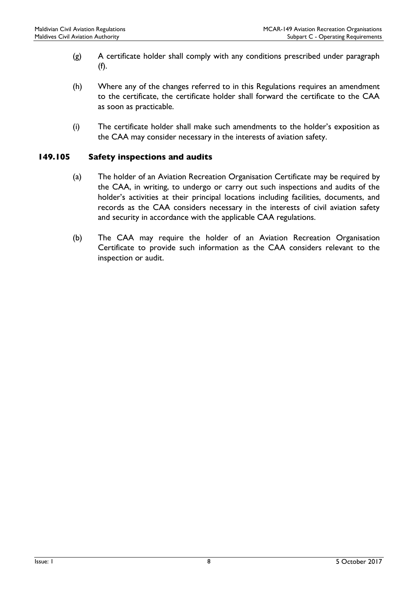- (g) A certificate holder shall comply with any conditions prescribed under paragraph (f).
- (h) Where any of the changes referred to in this Regulations requires an amendment to the certificate, the certificate holder shall forward the certificate to the CAA as soon as practicable.
- (i) The certificate holder shall make such amendments to the holder's exposition as the CAA may consider necessary in the interests of aviation safety.

## <span id="page-12-0"></span>149.105 Safety inspections and audits

- (a) The holder of an Aviation Recreation Organisation Certificate may be required by the CAA, in writing, to undergo or carry out such inspections and audits of the holder's activities at their principal locations including facilities, documents, and records as the CAA considers necessary in the interests of civil aviation safety and security in accordance with the applicable CAA regulations.
- (b) The CAA may require the holder of an Aviation Recreation Organisation Certificate to provide such information as the CAA considers relevant to the inspection or audit.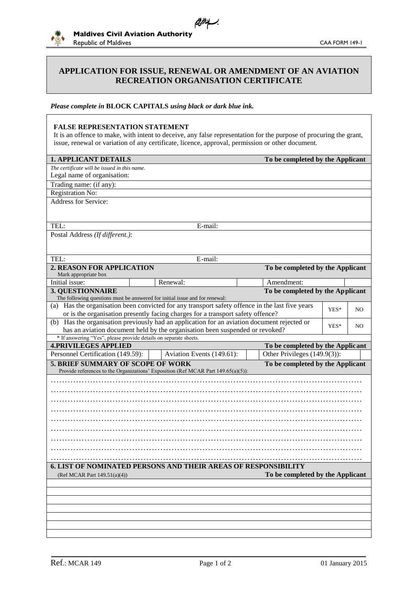

#### **APPLICATION FOR ISSUE, RENEWAL OR AMENDMENT OF AN AVIATION RECREATION ORGANISATION CERTIFICATE**

يسافران

#### *Please complete in* **BLOCK CAPITALS** *using black or dark blue ink.*

#### **FALSE REPRESENTATION STATEMENT**

It is an offence to make, with intent to deceive, any false representation for the purpose of procuring the grant, issue, renewal or variation of any certificate, licence, approval, permission or other document.

| <b>1. APPLICANT DETAILS</b>                                                                     |                                                                                   |  | To be completed by the Applicant               |      |     |  |
|-------------------------------------------------------------------------------------------------|-----------------------------------------------------------------------------------|--|------------------------------------------------|------|-----|--|
| The certificate will be issued in this name.                                                    |                                                                                   |  |                                                |      |     |  |
| Legal name of organisation:                                                                     |                                                                                   |  |                                                |      |     |  |
| Trading name: (if any):                                                                         |                                                                                   |  |                                                |      |     |  |
| Registration No:                                                                                |                                                                                   |  |                                                |      |     |  |
| Address for Service:                                                                            |                                                                                   |  |                                                |      |     |  |
|                                                                                                 |                                                                                   |  |                                                |      |     |  |
| TEL:                                                                                            | E-mail:                                                                           |  |                                                |      |     |  |
| Postal Address (If different.):                                                                 |                                                                                   |  |                                                |      |     |  |
|                                                                                                 |                                                                                   |  |                                                |      |     |  |
|                                                                                                 |                                                                                   |  |                                                |      |     |  |
| TEL:                                                                                            | E-mail:                                                                           |  |                                                |      |     |  |
| 2. REASON FOR APPLICATION                                                                       |                                                                                   |  | To be completed by the Applicant               |      |     |  |
| Mark appropriate box<br>Initial issue:                                                          |                                                                                   |  |                                                |      |     |  |
| 3. QUESTIONNAIRE                                                                                | Renewal:                                                                          |  | Amendment:<br>To be completed by the Applicant |      |     |  |
| The following questions must be answered for initial issue and for renewal:                     |                                                                                   |  |                                                |      |     |  |
| (a) Has the organisation been convicted for any transport safety offence in the last five years |                                                                                   |  |                                                |      |     |  |
|                                                                                                 | or is the organisation presently facing charges for a transport safety offence?   |  |                                                | YES* | NO. |  |
| (b) Has the organisation previously had an application for an aviation document rejected or     |                                                                                   |  |                                                | YES* | NO. |  |
|                                                                                                 | has an aviation document held by the organisation been suspended or revoked?      |  |                                                |      |     |  |
| * If answering "Yes", please provide details on separate sheets.                                |                                                                                   |  |                                                |      |     |  |
| <b>4.PRIVILEGES APPLIED</b>                                                                     |                                                                                   |  | To be completed by the Applicant               |      |     |  |
| Personnel Certification (149.59):                                                               | Aviation Events (149.61):                                                         |  | Other Privileges (149.9(3)):                   |      |     |  |
| 5. BRIEF SUMMARY OF SCOPE OF WORK                                                               | Provide references to the Organizations' Exposition (Ref MCAR Part 149.65(a)(5)): |  | To be completed by the Applicant               |      |     |  |
|                                                                                                 |                                                                                   |  |                                                |      |     |  |
|                                                                                                 |                                                                                   |  |                                                |      |     |  |
|                                                                                                 |                                                                                   |  |                                                |      |     |  |
|                                                                                                 |                                                                                   |  |                                                |      |     |  |
|                                                                                                 |                                                                                   |  |                                                |      |     |  |
|                                                                                                 |                                                                                   |  |                                                |      |     |  |
|                                                                                                 |                                                                                   |  |                                                |      |     |  |
|                                                                                                 |                                                                                   |  |                                                |      |     |  |
|                                                                                                 |                                                                                   |  |                                                |      |     |  |
|                                                                                                 |                                                                                   |  |                                                |      |     |  |
| <b>6. LIST OF NOMINATED PERSONS AND THEIR AREAS OF RESPONSIBILITY</b>                           |                                                                                   |  |                                                |      |     |  |
| (Ref MCAR Part 149.51(a)(4))                                                                    |                                                                                   |  | To be completed by the Applicant               |      |     |  |
|                                                                                                 |                                                                                   |  |                                                |      |     |  |
|                                                                                                 |                                                                                   |  |                                                |      |     |  |
|                                                                                                 |                                                                                   |  |                                                |      |     |  |
|                                                                                                 |                                                                                   |  |                                                |      |     |  |
|                                                                                                 |                                                                                   |  |                                                |      |     |  |
|                                                                                                 |                                                                                   |  |                                                |      |     |  |